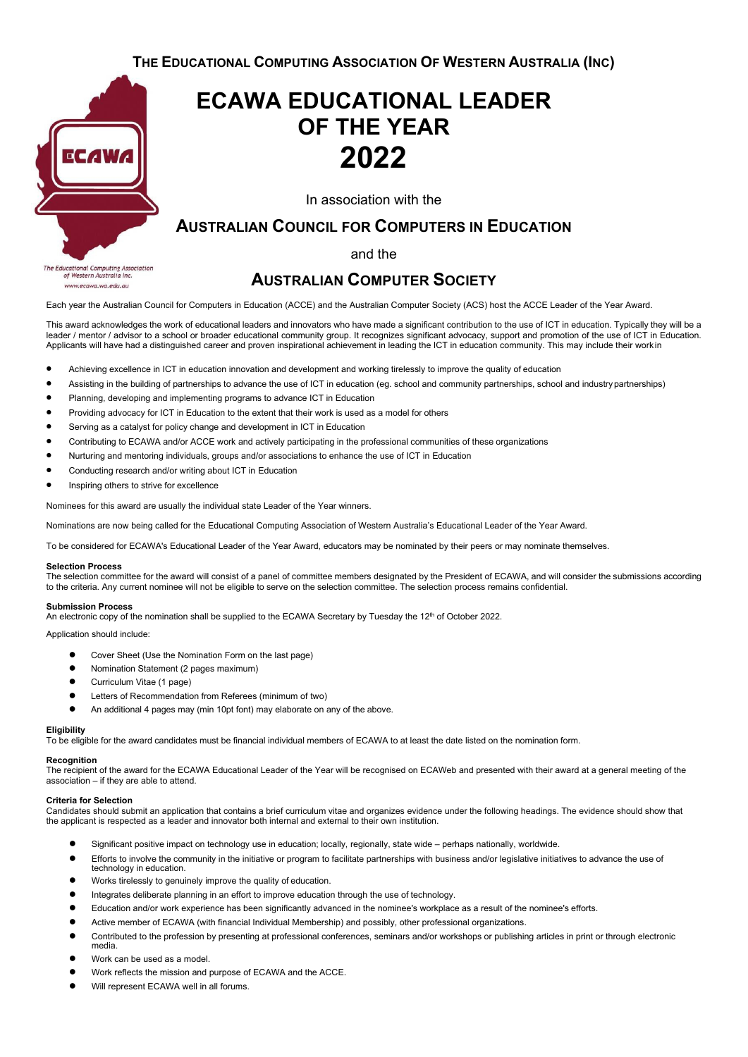**THE EDUCATIONAL COMPUTING ASSOCIATION OF WESTERN AUSTRALIA (INC)**



lucational Computing Association<br>of Western Australia Inc. The Edu www.ecawa.wa.edu.au

# **ECAWA EDUCATIONAL LEADER OF THE YEAR 2022**

In association with the

## **AUSTRALIAN COUNCIL FOR COMPUTERS IN EDUCATION**

and the

## **AUSTRALIAN COMPUTER SOCIETY**

Each year the Australian Council for Computers in Education (ACCE) and the Australian Computer Society (ACS) host the ACCE Leader of the Year Award.

This award acknowledges the work of educational leaders and innovators who have made a significant contribution to the use of ICT in education. Typically they will be a leader / mentor / advisor to a school or broader educational community group. It recognizes significant advocacy, support and promotion of the use of ICT in Education. Applicants will have had a distinguished career and proven inspirational achievement in leading the ICT in education community. This may include their work in

- Achieving excellence in ICT in education innovation and development and working tirelessly to improve the quality of education
- Assisting in the building of partnerships to advance the use of ICT in education (eg. school and community partnerships, school and industrypartnerships)
- Planning, developing and implementing programs to advance ICT in Education
- Providing advocacy for ICT in Education to the extent that their work is used as a model for others
- Serving as a catalyst for policy change and development in ICT in Education
- Contributing to ECAWA and/or ACCE work and actively participating in the professional communities of these organizations
- Nurturing and mentoring individuals, groups and/or associations to enhance the use of ICT in Education
- Conducting research and/or writing about ICT in Education
- Inspiring others to strive for excellence

Nominees for this award are usually the individual state Leader of the Year winners.

Nominations are now being called for the Educational Computing Association of Western Australia's Educational Leader of the Year Award.

To be considered for ECAWA's Educational Leader of the Year Award, educators may be nominated by their peers or may nominate themselves.

#### **Selection Process**

The selection committee for the award will consist of a panel of committee members designated by the President of ECAWA, and will consider the submissions according to the criteria. Any current nominee will not be eligible to serve on the selection committee. The selection process remains confidential.

#### **Submission Process**

An electronic copy of the nomination shall be supplied to the ECAWA Secretary by Tuesday the 12<sup>th</sup> of October 2022.

Application should include:

- Cover Sheet (Use the Nomination Form on the last page)
- Nomination Statement (2 pages maximum)
- Curriculum Vitae (1 page)
- Letters of Recommendation from Referees (minimum of two)
- An additional 4 pages may (min 10pt font) may elaborate on any of the above.

#### **Eligibility**

To be eligible for the award candidates must be financial individual members of ECAWA to at least the date listed on the nomination form.

#### **Recognition**

The recipient of the award for the ECAWA Educational Leader of the Year will be recognised on ECAWeb and presented with their award at a general meeting of the association – if they are able to attend.

#### **Criteria for Selection**

Candidates should submit an application that contains a brief curriculum vitae and organizes evidence under the following headings. The evidence should show that the applicant is respected as a leader and innovator both internal and external to their own institution.

- Significant positive impact on technology use in education; locally, regionally, state wide perhaps nationally, worldwide.
- Efforts to involve the community in the initiative or program to facilitate partnerships with business and/or legislative initiatives to advance the use of technology in education.
- Works tirelessly to genuinely improve the quality of education.
- Integrates deliberate planning in an effort to improve education through the use of technology.
- Education and/or work experience has been significantly advanced in the nominee's workplace as a result of the nominee's efforts.
- Active member of ECAWA (with financial Individual Membership) and possibly, other professional organizations.
- Contributed to the profession by presenting at professional conferences, seminars and/or workshops or publishing articles in print or through electronic media.
- Work can be used as a model.
- Work reflects the mission and purpose of ECAWA and the ACCE.
- Will represent ECAWA well in all forums.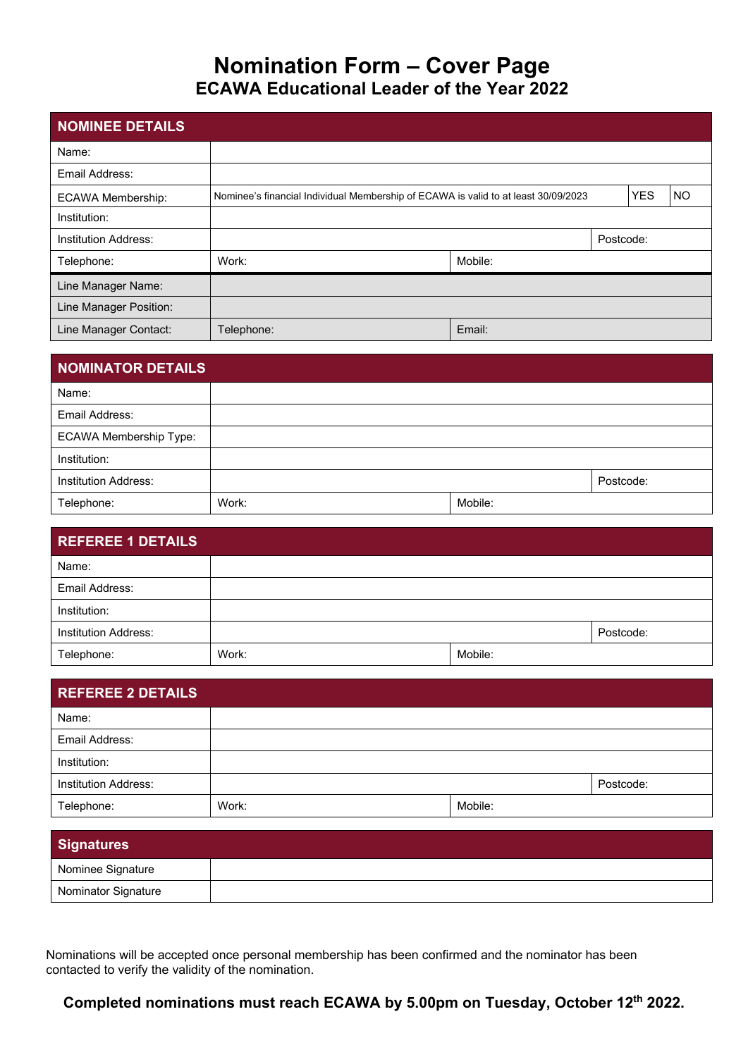## **Nomination Form – Cover Page ECAWA Educational Leader of the Year 2022**

| <b>NOMINEE DETAILS</b>      |                                                                                    |         |           |            |           |
|-----------------------------|------------------------------------------------------------------------------------|---------|-----------|------------|-----------|
| Name:                       |                                                                                    |         |           |            |           |
| Email Address:              |                                                                                    |         |           |            |           |
| <b>ECAWA Membership:</b>    | Nominee's financial Individual Membership of ECAWA is valid to at least 30/09/2023 |         |           | <b>YES</b> | <b>NO</b> |
| Institution:                |                                                                                    |         |           |            |           |
| <b>Institution Address:</b> |                                                                                    |         | Postcode: |            |           |
| Telephone:                  | Work:                                                                              | Mobile: |           |            |           |
| Line Manager Name:          |                                                                                    |         |           |            |           |
| Line Manager Position:      |                                                                                    |         |           |            |           |
| Line Manager Contact:       | Telephone:                                                                         | Email:  |           |            |           |

| <b>NOMINATOR DETAILS</b>      |       |         |           |
|-------------------------------|-------|---------|-----------|
| Name:                         |       |         |           |
| Email Address:                |       |         |           |
| <b>ECAWA Membership Type:</b> |       |         |           |
| Institution:                  |       |         |           |
| <b>Institution Address:</b>   |       |         | Postcode: |
| Telephone:                    | Work: | Mobile: |           |

| <b>REFEREE 1 DETAILS</b>    |       |         |           |
|-----------------------------|-------|---------|-----------|
| Name:                       |       |         |           |
| Email Address:              |       |         |           |
| Institution:                |       |         |           |
| <b>Institution Address:</b> |       |         | Postcode: |
| Telephone:                  | Work: | Mobile: |           |

| <b>REFEREE 2 DETAILS</b>    |       |         |           |
|-----------------------------|-------|---------|-----------|
| Name:                       |       |         |           |
| Email Address:              |       |         |           |
| Institution:                |       |         |           |
| <b>Institution Address:</b> |       |         | Postcode: |
| Telephone:                  | Work: | Mobile: |           |

| <b>Signatures</b>   |  |
|---------------------|--|
| Nominee Signature   |  |
| Nominator Signature |  |

Nominations will be accepted once personal membership has been confirmed and the nominator has been contacted to verify the validity of the nomination.